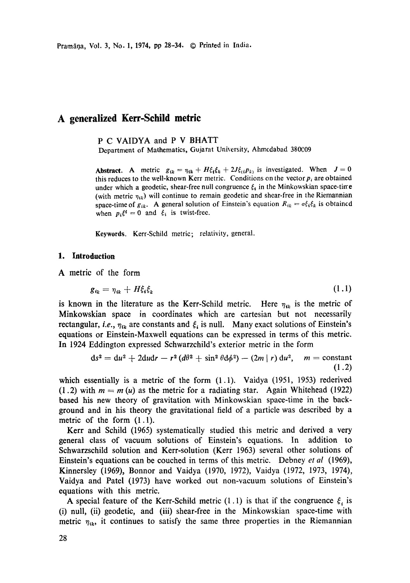# **A generalized Kerr-Schild metric**

P C VAIDYA and P V BHATT

Department of Mathematics, Gujarat University, Ahmcdabad 380C09

**Abstract.** A metric  $g_{ik} = \eta_{ik} + H\xi_i \xi_k + 2J\xi_{ij} p_{kj}$  is investigated. When  $J = 0$ this reduces to the well-known Kerr metric. Conditions on the vector  $p_i$  are obtained under which a geodetic, shear-free null congruence  $\xi_i$  in the Minkowskian space-tirre (with metric  $\eta_{ik}$ ) will continue to remain geodetic and shear-free in the Riemannian space-time of  $g_{ik}$ . A general solution of Einstein's equation  $R_{ik} = \sigma \xi_i \xi_k$  is obtained when  $p_i \xi^i = 0$  and  $\xi_i$  is twist-free.

Keywords. Kerr-Schild metric; relativity, general.

### **1. Introduction**

A metric of the form

$$
g_{ik} = \eta_{ik} + H\xi_i \xi_k \tag{1.1}
$$

is known in the literature as the Kerr-Schild metric. Here  $\eta_{ik}$  is the metric of Minkowskian space in coordinates which are cartesian but not necessarily rectangular, *i.e.*,  $\eta_{ik}$  are constants and  $\xi_i$  is null. Many exact solutions of Einstein's equations or Einstein-Maxwell equations can be expressed in terms of this metric. In 1924 Eddington expressed Schwarzchild's exterior metric in the form

$$
ds2 = du2 + 2dudr - r2(d\theta2 + sin2 \theta d\phi2) - (2m | r) du2, m = constant
$$
\n(1.2)

which essentially is a metric of the form  $(1.1)$ . Vaidya  $(1951, 1953)$  rederived (1.2) with  $m = m(u)$  as the metric for a radiating star. Again Whitehead (1922) based his new theory of gravitation with Minkowskian space-time in the background and in his theory the gravitational field of a particle was described by a metric of the form (1.1).

Kerr and Schild (1965) systematically studied this metric and derived a very general class of vacuum solutions of Einstein's equations. In addition to Schwarzschild solution and Kerr-solution (Kerr 1963) several other solutions of Einstein's equations can be couched in terms of this metric. Debney *et al* (1969), Kinnersley (1969), Bonnor and Vaidya (1970, 1972), Vaidya (1972, 1973, 1974), Vaidya and Patel (1973) have worked out non-vacuum solutions of Einstein's equations with this metric.

A special feature of the Kerr-Schild metric (1.1) is that if the congruence  $\xi_i$  is (i) null, (ii) geodetic, and (iii) shear-free in the Minkowskian space-time with metric  $\eta_{ik}$ , it continues to satisfy the same three properties in the Riemannian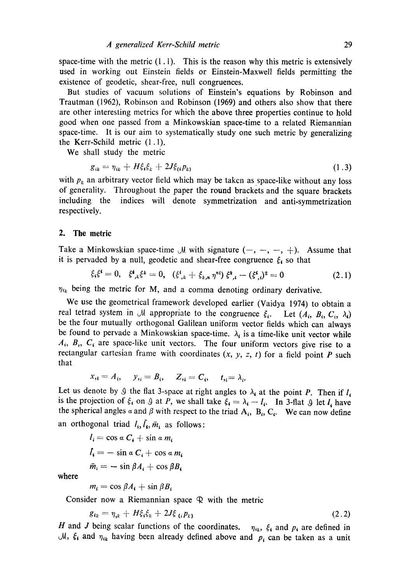space-time with the metric  $(1, 1)$ . This is the reason why this metric is extensively used in working out Einstein fields or Einstein-Maxwell fields permitting the existence of geodetic, shear-free, null congruences.

But studies of vacuum solutions of Einstein's equations by Robinson and Trautman (1962), Robinson and Robinson (1969) and others also show that there are other interesting metrics for which the above three properties continue to hold good when one passed from a Minkowskian space-time to a related Riemannian space-time. It is our aim to systematically study one such metric by generalizing the Kerr-Schild metric (1.1).

We shall study the metric

$$
g_{ik} = \eta_{ik} + H\xi_i \xi_k + 2J\xi_{(i} p_{k)} \tag{1.3}
$$

with  $p_k$  an arbitrary vector field which may be taken as space-like without any loss of generality. Throughout the paper the round brackets and the square brackets including the indices will denote symmetrization and anti-symmetrization respectively.

#### 2. The metric

Take a Minkowskian space-time  $\mathcal M$  with signature  $(-, -, -, +)$ . Assume that it is pervaded by a null, geodetic and shear-free congruence  $\xi_i$  so that

$$
\xi_i \xi^i = 0, \quad \xi^i_{\ ,k} \xi^k = 0, \quad (\xi^i_{\ ,k} + \xi_{k,n} \ \eta^{n i}) \ \xi^k_{\ ,i} - (\xi^i_{\ ,i})^2 = 0 \tag{2.1}
$$

 $\eta_{ik}$  being the metric for M, and a comma denoting ordinary derivative.

We use the geometrical framework developed earlier (Vaidya 1974) to obtain a real tetrad system in  $\mathcal M$  appropriate to the congruence  $\xi_i$ . Let  $(A_i, B_i, C_i, \lambda_i)$ be the four mutually orthogonal Galilean uniform vector fields which can always be found to pervade a Minkowskian space-time.  $\lambda_i$  is a time-like unit vector while  $A_i$ ,  $B_i$ ,  $C_i$  are space-like unit vectors. The four uniform vectors give rise to a rectangular cartesian frame with coordinates  $(x, y, z, t)$  for a field point P such that

$$
x_{i} = A_{i}, \quad y_{i} = B_{i}, \quad Z_{i} = C_{i}, \quad t_{i} = \lambda_{i}.
$$

Let us denote by  $\mathcal G$  the flat 3-space at right angles to  $\lambda_i$  at the point P. Then if  $l_i$ is the projection of  $\xi_i$  on  $\theta$  at P, we shall take  $\xi_i = \lambda_i - l_i$ . In 3-flat  $\theta$  let  $l_i$  have the spherical angles  $\alpha$  and  $\beta$  with respect to the triad  $A_i$ ,  $B_i$ ,  $C_i$ . We can now define an orthogonal triad  $l_i, l_i, \bar{m}_i$  as follows:

> $l_i = \cos \alpha C_i + \sin \alpha m_i$  $I_i = -\sin \alpha C_i + \cos \alpha m_i$  $\bar{m}_i = -\sin\beta A_i + \cos\beta B_i$

where

$$
m_i = \cos \beta A_i + \sin \beta B_i
$$

Consider now a Riemannian space  $\mathbb Q$  with the metric

$$
g_{ik} = \eta_{ik} + H\xi_i \xi_k + 2J\xi_{(i} p_k)
$$
 (2.2)

H and J being scalar functions of the coordinates.  $\eta_{ik}$ ,  $\xi_i$  and  $p_i$  are defined in  $\mathcal{M}, \xi_i$  and  $\eta_{ik}$  having been already defined above and  $p_i$  can be taken as a unit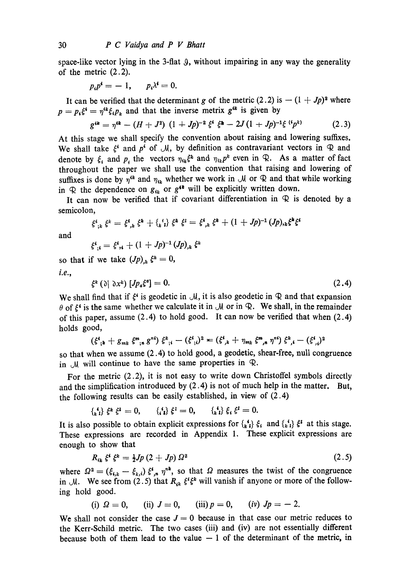space-like vector lying in the 3-flat 9, without impairing in any way the generality of the metric (2.2).

$$
p_i p^i = -1, \qquad p_i \lambda^i = 0.
$$

It can be verified that the determinant g of the metric  $(2.2)$  is  $- (1 + Jp)^2$  where  $p = p_k \xi^k = \eta^{ik} \xi_i p_k$  and that the inverse metrix  $g^{ik}$  is given by

$$
g^{ik} = \eta^{ik} - (H + J^2) (1 + Jp)^{-2} \xi^i \xi^k - 2J(1 + Jp)^{-1} \xi^{i} p^{k} \qquad (2.3)
$$

At this stage we shall specify the convention about raising and lowering suffixes. We shall take  $\xi^i$  and  $p^i$  of  $\mathcal{M}$ , by definition as contravariant vectors in  $\mathcal{R}$  and denote by  $\xi_i$  and p, the vectors  $\eta_{ik}\xi^k$  and  $\eta_{ik}p^k$  even in  $\mathcal{R}$ . As a matter of fact throughout the paper we shall use the convention that raising and lowering of suffixes is done by  $\eta^{ik}$  and  $\eta_{ik}$  whether we work in  $\mathcal M$  or  $\mathcal R$  and that while working in  $\mathcal{R}$  the dependence on  $g_{ik}$  or  $g^{ik}$  will be explicitly written down.

It can now be verified that if covariant differentiation in  $\mathcal{R}$  is denoted by a semicolon,

$$
\xi^{i}_{,k} \xi^{k} = \xi^{i}_{,k} \xi^{k} + \xi^{i}_{k} \xi^{k} \xi^{k} = \xi^{i}_{,k} \xi^{k} + (1 + Jp)^{-1} (Jp)_{,k} \xi^{k} \xi^{l}
$$

and

$$
\xi^i_{;i} = \xi^i_{;i} + (1+Jp)^{-1} (Jp)_{,k} \xi^k
$$

so that if we take  $(Jp)_{ik} \xi^k = 0$ ,

*i.e.,* 

$$
\xi^k\left(\partial|\partial x^k\right)\left[Jp_a\xi^a\right]=0.\tag{2.4}
$$

We shall find that if  $\xi^i$  is geodetic in  $\mathcal{M}$ , it is also geodetic in  $\mathcal{R}$  and that expansion  $\theta$  of  $\xi^*$  is the same whether we calculate it in  $\mathcal M$  or in  $\mathcal R$ . We shall, in the remainder of this paper, assume  $(2.4)$  to hold good. It can now be verified that when  $(2.4)$ holds good,

$$
(\xi^i_{\;i} + g_{mk} \xi^m_{\;i} g^{n\ell}) \xi^k_{\;i} - (\xi^i_{\;i})^2 = (\xi^i_{\;k} + \eta_{mk} \xi^m_{\;j} g^{n\ell}) \xi^k_{\;j} - (\xi^i_{\;j})^2
$$

so that when we assume (2.4) to hold good, a geodetic, shear-free, null congruence in  $\mathcal M$  will continue to have the same properties in  $\mathcal R$ .

For the metric (2.2), it is not easy to write down Christoffel symbols directly and the simplification introduced by (2.4) is not of much help in the matter. But, the following results can be easily established, in view of (2.4)

$$
\{ \xi_i^i \} \xi^k \xi^l = 0, \qquad \{ \xi_i^i \} \xi^l = 0, \qquad \{ \xi_i^i \} \xi_i \xi^l = 0.
$$

It is also possible to obtain explicit expressions for  $\{x_i\}$   $\xi_i$  and  $\{x_i\}$   $\xi_i$  at this stage. These expressions are recorded in Appendix 1. These explicit expressions are enough to show that

$$
R_{ik} \xi^i \xi^k = \frac{1}{2} J p \left( 2 + J p \right) \Omega^2 \tag{2.5}
$$

where  $\Omega^2 = (\xi_{i,k} - \xi_{k,i}) \xi_{i,n}^* \eta^{nk}$ , so that  $\Omega$  measures the twist of the congruence in  $\mathcal{M}$ . We see from (2.5) that  $R_{ik} \xi^i \xi^k$  will vanish if anyone or more of the following hold good.

(i) 
$$
\Omega = 0
$$
, (ii)  $J = 0$ , (iii)  $p = 0$ , (iv)  $Jp = -2$ .

We shall not consider the case  $J = 0$  because in that case our metric reduces to the Kerr-Schild metric. The two cases (iii) and (iv) are not essentially different because both of them lead to the value  $-1$  of the determinant of the metric, in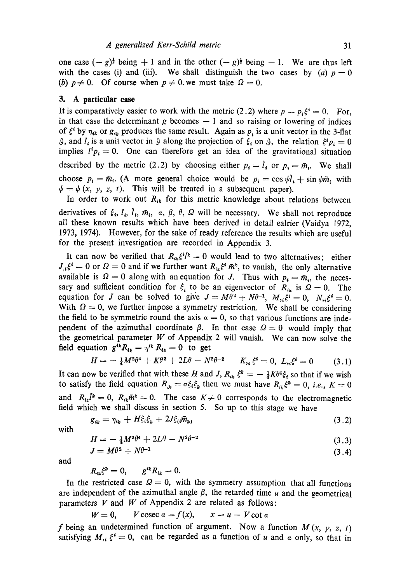one case  $(-g)^{\frac{1}{2}}$  being  $+1$  and in the other  $(-g)^{\frac{1}{2}}$  being  $-1$ . We are thus left with the cases (i) and (iii). We shall distinguish the two cases by (a)  $p = 0$ (b)  $p \neq 0$ . Of course when  $p \neq 0$  we must take  $\Omega = 0$ .

### **3. A particular case**

It is comparatively easier to work with the metric (2.2) where  $p = p_i \xi^i = 0$ . For, in that case the determinant  $g$  becomes  $-1$  and so raising or lowering of indices of  $\xi^*$  by  $\eta_{ik}$  or  $g_{ik}$  produces the same result. Again as  $p_i$  is a unit vector in the 3-flat 9, and  $I_i$  is a unit vector in 9 along the projection of  $\xi_i$  on 9, the relation  $\xi^i p_i = 0$ implies  $l^4 p_i = 0$ . One can therefore get an idea of the gravitational situation described by the metric (2.2) by choosing either  $p_i = \overline{l_i}$  or  $p_i = \overline{m_i}$ . We shall choose  $p_i = \bar{m}_i$ . (A more general choice would be  $p_i = \cos \psi l_i + \sin \psi \bar{m}_i$  with  $\psi = \psi(x, y, z, t)$ . This will be treated in a subsequent paper).

In order to work out  $R_{ik}$  for this metric knowledge about relations between derivatives of  $\xi_{\rm t}$ ,  $l_{\rm t}$ ,  $\bar{l}_{\rm t}$ ,  $\bar{m}_{\rm t}$ ,  $\alpha$ ,  $\beta$ ,  $\theta$ ,  $\Omega$  will be necessary. We shall not reproduce all these known results which have been derived in detail ealrier (Vaidya 1972, 1973, 1974). However, for the sake of ready reference the results which are useful for the present investigation are recorded in Appendix 3.

It can now be verified that  $R_{ik} \xi^{i} \bar{l}^k = 0$  would lead to two alternatives; either  $J_{,4}\xi^i = 0$  or  $\Omega = 0$  and if we further want  $R_{ik}\xi^i \bar{m}^k$ , to vanish, the only alternative available is  $\Omega = 0$  along with an equation for J. Thus with  $p_{\rm t} = \bar{m}_{\rm t}$ , the necessary and sufficient condition for  $\xi$  to be an eigenvector of  $R_{ik}$  is  $\Omega = 0$ . The equation for J can be solved to give  $J = M\theta^2 + N\theta^{-1}$ ,  $M_{,i}\xi^i = 0$ ,  $N_{,i}\xi^i = 0$ . With  $\Omega = 0$ , we further impose a symmetry restriction. We shall be considering the field to be symmetric round the axis  $\alpha = 0$ , so that various functions are independent of the azimuthal coordinate  $\beta$ . In that case  $\Omega = 0$  would imply that the geometrical parameter  $W$  of Appendix 2 will vanish. We can now solve the field equation  $g^{ik} R_{ik} = \eta^{ik} R_{ik} = 0$  to get

$$
H=-\frac{1}{4}M^2\theta^4+K\theta^2+2L\theta-N^2\theta^{-2}\qquad K_{14}\xi^4=0,\ L_{15}\xi^4=0\qquad (3.1)
$$

It can now be verified that with these H and J,  $R_{ik} \xi^k = -\frac{1}{4} K \theta^4 \xi_i$  so that if we wish to satisfy the field equation  $R_{ik} = \sigma \xi_i \xi_k$  then we must have  $R_{ik} \xi^k = 0$ , *i.e.*,  $K = 0$ and  $R_{i\mu} \tilde{l}^k = 0$ ,  $R_{i\mu} \tilde{m}^k = 0$ . The case  $K \neq 0$  corresponds to the electromagnetic field which we shall discuss in section 5. So up to this stage we have

$$
g_{ik} = \eta_{ik} + H\xi_i\xi_k + 2J\xi_i\bar{m}_k
$$
\n(3.2)

with

$$
H = -\frac{1}{4}M^2\theta^4 + 2L\theta - N^2\theta^{-2} \tag{3.3}
$$

$$
J = M\theta^2 + N\theta^{-1} \tag{3.4}
$$

and

$$
R_{ik}\xi^k=0, \qquad g^{ik}R_{ik}=0.
$$

In the restricted case  $\Omega = 0$ , with the symmetry assumption that all functions are independent of the azimuthal angle  $\beta$ , the retarded time u and the geometrical parameters V and W of Appendix 2 are related as follows:

$$
W=0, \qquad V\csc a=f(x), \qquad x=u-V\cot a
$$

f being an undetermined function of argument. Now a function  $M(x, y, z, t)$ satisfying  $M_{14} \xi^4 = 0$ , can be regarded as a function of u and a only, so that in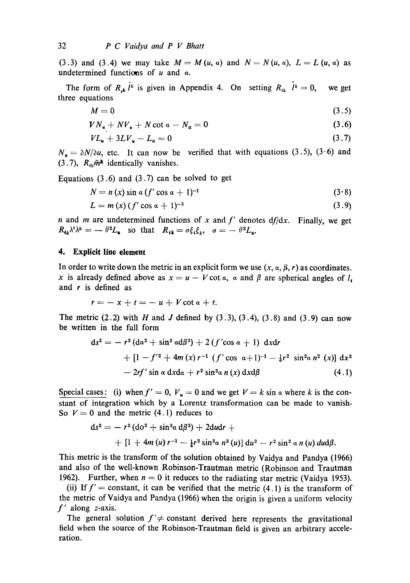(3.3) and (3.4) we may take  $M = M(u, a)$  and  $N = N(u, a)$ ,  $L = L(u, a)$  as undetermined functions of  $u$  and  $\alpha$ .

The form of  $R_{ik} l^k$  is given in Appendix 4. On setting  $R_{ik} l^k = 0$ , we get three equations

$$
M=0 \tag{3.5}
$$

$$
V N_{\mathbf{u}} + N V_{\mathbf{u}} + N \cot a - N_a = 0 \qquad (3.6)
$$

$$
VL_{\mathbf{u}} + 3LV_{\mathbf{u}} - L_{\mathbf{a}} = 0 \tag{3.7}
$$

 $N_{\rm u} = \partial N/\partial u$ , etc. It can now be verified that with equations (3.5), (3.6) and (3.7),  $R_{ik}\tilde{m}^*$  identically vanishes.

Equations  $(3.6)$  and  $(3.7)$  can be solved to get

$$
N = n(x) \sin \alpha (f' \cos \alpha + 1)^{-1}
$$
 (3.8)

$$
L = m(x) (f' \cos a + 1)^{-3}
$$
 (3.9)

n and m are undetermined functions of x and *f'* denotes *df/dx.*  Finally, we get  $R_{ik}\lambda^i\lambda^k = -\theta^2 L_{ik}$  so that  $R_{ik} = \sigma \xi_i \xi_k$ ,  $\sigma = -\theta^2 L_{ik}$ .

### **4. Explicit line element**

In order to write down the metric in an explicit form we use  $(x, \alpha, \beta, r)$  as coordinates. x is already defined above as  $x = u - V \cot \alpha$ ,  $\alpha$  and  $\beta$  are spherical angles of  $l_{\alpha}$ and  $r$  is defined as

$$
r=-x+t=-u+V\cot a+t.
$$

The metric (2.2) with H and J defined by  $(3.3)$ ,  $(3.4)$ ,  $(3.8)$  and  $(3.9)$  can now be written in the full form

$$
ds^{2} = -r^{2} (da^{2} + \sin^{2} ad\beta^{2}) + 2 (f' \cos a + 1) dx dr
$$
  
+ 
$$
[1 - f'^{2} + 4m(x) r^{-1} (f' \cos a + 1)^{-1} - 4r^{2} \sin^{2} a n^{2} (x)] dx^{2}
$$
  
- 
$$
2rf' \sin a dx da + r^{2} \sin^{2} a n (x) dx d\beta
$$
 (4.1)

Special cases: (i) when  $f' = 0$ ,  $V_u = 0$  and we get  $V = k \sin \alpha$  where k is the constant of integration which by a Lorentz transformation can be made to vanish. So  $V = 0$  and the metric (4.1) reduces to

$$
ds^{2} = - r^{2} (d\sigma^{2} + \sin^{2}\alpha d\beta^{2}) + 2du dr +
$$
  
+ [1 + 4m (u) r<sup>-1</sup> -  $\frac{1}{4}r^{2} \sin^{2}\alpha n^{2}(u)] du^{2} - r^{2} \sin^{2}\alpha n(u) du d\beta.$ 

This metric is the transform of the solution obtained by Vaidya and Pandya (1966) and also of the well-known Robinson-Trautman metric (Robinson and Trautman 1962). Further, when  $n = 0$  it reduces to the radiating star metric (Vaidya 1953).

(ii) If  $f' =$  constant, it can be verified that the metric  $(4.1)$  is the transform of the metric of Vaidya and Pandya (1966) when the origin is given a uniform velocity *f'* along z-axis.

The general solution  $f' \neq$  constant derived here represents the gravitational field when the source of the Robinson-Trautman field is given an arbitrary acceleration.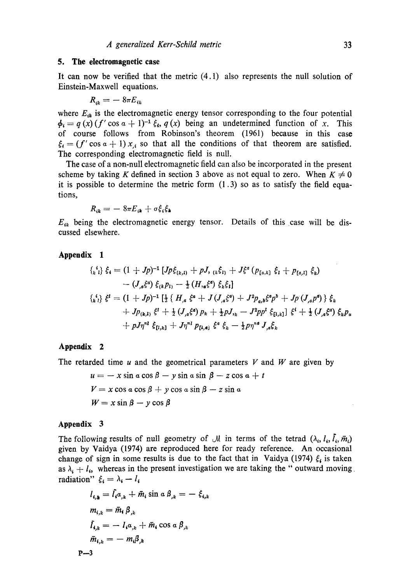### **5. The electromagnetic case**

It can now be verified that the metric (4.1) also represents the null solution of Einstein-Maxwell equations.

$$
R_{ik} = -8\pi E_{ik}
$$

where  $E_{ik}$  is the electromagnetic energy tensor corresponding to the four potential  $\phi_i = q(x) (f' \cos \alpha + 1)^{-1} \xi_i, q(x)$  being an undetermined function of x. This of course follows from Robinson's theorem (1961) because in this case  $\xi_i = (f' \cos \alpha + 1) x_i$  so that all the conditions of that theorem are satisfied. The corresponding electromagnetic field is null.

The case of a non-null electromagnetic field can also be incorporated in the present scheme by taking K defined in section 3 above as not equal to zero. When  $K \neq 0$ it is possible to determine the metric form  $(1.3)$  so as to satisfy the field equations,

$$
R_{ik} = -\, 8\pi E_{ik} + \sigma \xi_i \xi_k
$$

 $E_{ik}$  being the electromagnetic energy tensor. Details of this case will be discussed elsewhere.

# **Appendix 1**

$$
{\begin{aligned}\n\{\iota_k^i\} \ \xi_i &= (1 + Jp)^{-1} \left[ Jp\xi_{(k,1)} + pJ, \, \iota_k \xi_{1} \right] + J\xi^a \left( p_{[a,k]} \ \xi_i + p_{[a,l]} \ \xi_k \right) \\
&\quad - (J_{,a}\xi^a) \ \xi_{(k}p_{l)} - \frac{1}{2} \left( H_{,a}\xi^a \right) \xi_k \xi_l \\
\{\iota_k^i\} \ \xi^i &= (1 + Jp)^{-1} \left[ \frac{1}{2} \left\{ H_{,a} \ \xi^a + J(J_{,a}\xi^a) + J^2 p_{a,b} \xi^a p^b + Jp(J_{,a}p^a) \right\} \ \xi_k \\
&\quad + Jp_{(k,1)} \ \xi^l + \frac{1}{2} \left( J_{,a}\xi^a \right) p_k + \frac{1}{2} pJ_{,k} - J^2 p p^l \ \xi_{[1,k]} \right] \ \xi^i + \frac{1}{2} \left( J_{,a}\xi^a \right) \ \xi_k p_u \\
&\quad + pJ\eta^{nI} \ \xi_{[1,k]} + J\eta^{nI} \ p_{[1,a]} \ \xi^a \ \xi_k - \frac{1}{2} p\eta^{na} J_{,a} \xi_k\n\end{aligned}
$$

# **Appendix 2**

The retarded time  $u$  and the geometrical parameters  $V$  and  $W$  are given by

$$
u = -x \sin a \cos \beta - y \sin a \sin \beta - z \cos a + t
$$
  

$$
V = x \cos a \cos \beta + y \cos a \sin \beta - z \sin a
$$
  

$$
W = x \sin \beta - y \cos \beta
$$

# **Appendix 3**

The following results of null geometry of  $\mathcal{M}$  in terms of the tetrad  $(\lambda_i, l_i, \bar{l}_i, \bar{m}_i)$ given by Vaidya (1974) are reproduced here for ready reference. An occasional change of sign in some results is due to the fact that in Vaidya (1974)  $\xi_i$  is taken as  $\lambda_i + l_i$ , whereas in the present investigation we are taking the " outward moving radiation"  $\xi_i = \lambda_i - l_i$ 

$$
l_{i,k} = \tilde{l}_i a_{,k} + \tilde{m}_i \sin \alpha \beta_{,k} = -\xi_{i,k}
$$
  
\n
$$
m_{i,k} = \tilde{m}_i \beta_{,k}
$$
  
\n
$$
\tilde{l}_{i,k} = -l_i a_{,k} + \tilde{m}_i \cos \alpha \beta_{,k}
$$
  
\n
$$
\tilde{m}_{i,k} = -m_i \beta_{,k}
$$
  
\n
$$
3
$$

$$
\mathbf{P} \leftarrow
$$